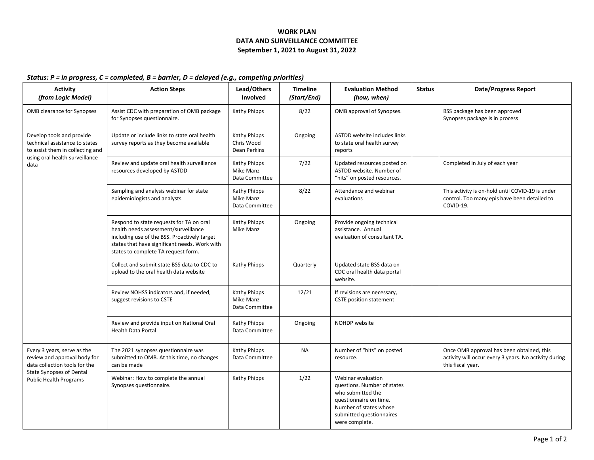## **WORK PLAN DATA AND SURVEILLANCE COMMITTEE September 1, 2021 to August 31, 2022**

## *Status: P = in progress, C = completed, B = barrier, D = delayed (e.g., competing priorities)*

| <b>Activity</b><br>(from Logic Model)                                                                                                                            | <b>Action Steps</b>                                                                                                                                                                                                      | Lead/Others<br>Involved                     | <b>Timeline</b><br>(Start/End) | <b>Evaluation Method</b><br>(how, when)                                                                                                                                  | <b>Status</b> | <b>Date/Progress Report</b>                                                                                             |
|------------------------------------------------------------------------------------------------------------------------------------------------------------------|--------------------------------------------------------------------------------------------------------------------------------------------------------------------------------------------------------------------------|---------------------------------------------|--------------------------------|--------------------------------------------------------------------------------------------------------------------------------------------------------------------------|---------------|-------------------------------------------------------------------------------------------------------------------------|
| OMB clearance for Synopses                                                                                                                                       | Assist CDC with preparation of OMB package<br>for Synopses questionnaire.                                                                                                                                                | Kathy Phipps                                | 8/22                           | OMB approval of Synopses.                                                                                                                                                |               | BSS package has been approved<br>Synopses package is in process                                                         |
| Develop tools and provide<br>technical assistance to states<br>to assist them in collecting and<br>using oral health surveillance<br>data                        | Update or include links to state oral health<br>survey reports as they become available                                                                                                                                  | Kathy Phipps<br>Chris Wood<br>Dean Perkins  | Ongoing                        | ASTDD website includes links<br>to state oral health survey<br>reports                                                                                                   |               |                                                                                                                         |
|                                                                                                                                                                  | Review and update oral health surveillance<br>resources developed by ASTDD                                                                                                                                               | Kathy Phipps<br>Mike Manz<br>Data Committee | 7/22                           | Updated resources posted on<br>ASTDD website. Number of<br>"hits" on posted resources.                                                                                   |               | Completed in July of each year                                                                                          |
|                                                                                                                                                                  | Sampling and analysis webinar for state<br>epidemiologists and analysts                                                                                                                                                  | Kathy Phipps<br>Mike Manz<br>Data Committee | 8/22                           | Attendance and webinar<br>evaluations                                                                                                                                    |               | This activity is on-hold until COVID-19 is under<br>control. Too many epis have been detailed to<br>COVID-19.           |
|                                                                                                                                                                  | Respond to state requests for TA on oral<br>health needs assessment/surveillance<br>including use of the BSS. Proactively target<br>states that have significant needs. Work with<br>states to complete TA request form. | Kathy Phipps<br>Mike Manz                   | Ongoing                        | Provide ongoing technical<br>assistance. Annual<br>evaluation of consultant TA.                                                                                          |               |                                                                                                                         |
|                                                                                                                                                                  | Collect and submit state BSS data to CDC to<br>upload to the oral health data website                                                                                                                                    | Kathy Phipps                                | Quarterly                      | Updated state BSS data on<br>CDC oral health data portal<br>website.                                                                                                     |               |                                                                                                                         |
|                                                                                                                                                                  | Review NOHSS indicators and, if needed,<br>suggest revisions to CSTE                                                                                                                                                     | Kathy Phipps<br>Mike Manz<br>Data Committee | 12/21                          | If revisions are necessary,<br><b>CSTE position statement</b>                                                                                                            |               |                                                                                                                         |
|                                                                                                                                                                  | Review and provide input on National Oral<br><b>Health Data Portal</b>                                                                                                                                                   | Kathy Phipps<br>Data Committee              | Ongoing                        | NOHDP website                                                                                                                                                            |               |                                                                                                                         |
| Every 3 years, serve as the<br>review and approval body for<br>data collection tools for the<br><b>State Synopses of Dental</b><br><b>Public Health Programs</b> | The 2021 synopses questionnaire was<br>submitted to OMB. At this time, no changes<br>can be made                                                                                                                         | Kathy Phipps<br>Data Committee              | <b>NA</b>                      | Number of "hits" on posted<br>resource.                                                                                                                                  |               | Once OMB approval has been obtained, this<br>activity will occur every 3 years. No activity during<br>this fiscal year. |
|                                                                                                                                                                  | Webinar: How to complete the annual<br>Synopses questionnaire.                                                                                                                                                           | Kathy Phipps                                | 1/22                           | Webinar evaluation<br>questions. Number of states<br>who submitted the<br>questionnaire on time.<br>Number of states whose<br>submitted questionnaires<br>were complete. |               |                                                                                                                         |